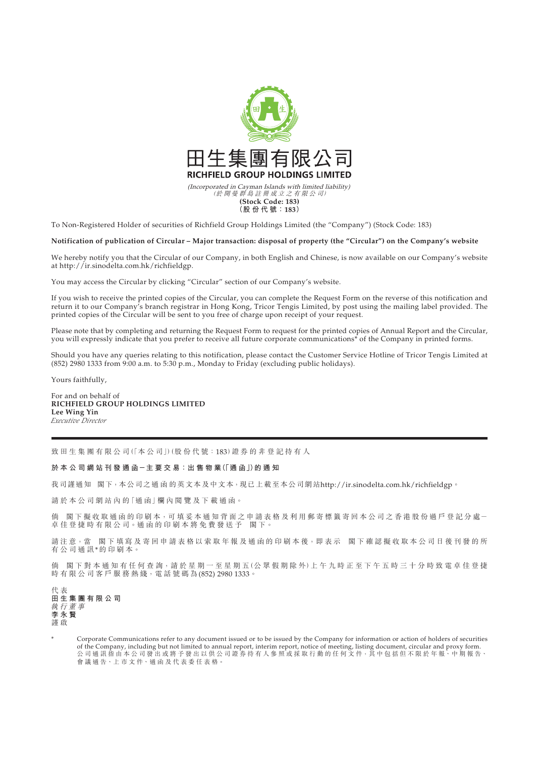

To Non-Registered Holder of securities of Richfield Group Holdings Limited (the "Company") (Stock Code: 183)

## **Notification of publication of Circular – Major transaction: disposal of property (the "Circular") on the Company's website**

We hereby notify you that the Circular of our Company, in both English and Chinese, is now available on our Company's website at http://ir.sinodelta.com.hk/richfieldgp.

You may access the Circular by clicking "Circular" section of our Company's website.

If you wish to receive the printed copies of the Circular, you can complete the Request Form on the reverse of this notification and return it to our Company's branch registrar in Hong Kong, Tricor Tengis Limited, by post using the mailing label provided. The printed copies of the Circular will be sent to you free of charge upon receipt of your request.

Please note that by completing and returning the Request Form to request for the printed copies of Annual Report and the Circular, you will expressly indicate that you prefer to receive all future corporate communications\* of the Company in printed forms.

Should you have any queries relating to this notification, please contact the Customer Service Hotline of Tricor Tengis Limited at  $(852)$  2980 1333 from 9:00 a.m. to 5:30 p.m., Monday to Friday (excluding public holidays).

Yours faithfully,

For and on behalf of **RICHFIELD GROUP HOLDINGS LIMITED Lee Wing Yin** *Executive Director*

致田生集團有限公司(「本公司」)(股份代號:183)證券的非登記持有人

**於 本 公 司 網 站 刊 發 通 函-主 要 交 易:出 售 物 業(「通 函」)的通知**

我司謹通知 閣下,本公司之通 函 的英文本及中文本,現已上載至本公司網站http://ir.sinodelta.com.hk/richfieldgp。

請 於 本 公 司 網 站 內 的「通 函」欄 內 閱 覽 及 下 載 通 函。

倘 閣下擬收取通函的印刷本,可填妥本通知背面之申請表格及利用郵寄標籤寄回本公司之香港股份過戶登記分處一 卓佳登捷時有限公司。通函的印刷本將免費發送予 閣下

請注意,當 閣下填寫及寄回申請表格以索取年報及通函的印刷本後,即表示 閣下確認擬收取本公司日後刊發的所 有公司通訊\*的印刷本。

倘 閣下對本通知有任何查詢,請於星期一至星期五(公眾假期除外)上午九時正至下午五時三十分時致電卓佳登捷 時有限公司客戶服務熱綫,電話號碼為(852) 2980 1333。

代 表 **田生集團有限公司** 執行董事 **李永賢** 謹 啟

Corporate Communications refer to any document issued or to be issued by the Company for information or action of holders of securities of the Company, including but not limited to annual report, interim report, notice of meeting, listing document, circular and proxy form.<br>公 司 通 訊 指 由 本 公 司 發 出 或 將 予 發 出 以 供 公 司 證 券 持 有 人 參 照 或 採 取 行 動 的 任 何 文 件,其 中 包 括 但 會 議 通 告、上 市 文 件、通 函 及 代 表 委 任 表 格。